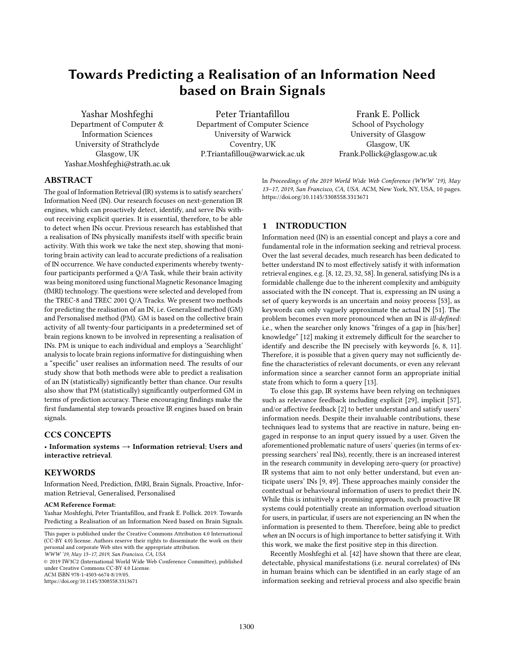# Towards Predicting a Realisation of an Information Need based on Brain Signals

Yashar Moshfeghi Department of Computer & Information Sciences University of Strathclyde Glasgow, UK Yashar.Moshfeghi@strath.ac.uk

Peter Triantafillou Department of Computer Science University of Warwick Coventry, UK P.Triantafillou@warwick.ac.uk

Frank E. Pollick School of Psychology University of Glasgow Glasgow, UK Frank.Pollick@glasgow.ac.uk

## ABSTRACT

The goal of Information Retrieval (IR) systems is to satisfy searchers' Information Need (IN). Our research focuses on next-generation IR engines, which can proactively detect, identify, and serve INs without receiving explicit queries. It is essential, therefore, to be able to detect when INs occur. Previous research has established that a realisation of INs physically manifests itself with specific brain activity. With this work we take the next step, showing that monitoring brain activity can lead to accurate predictions of a realisation of IN occurrence. We have conducted experiments whereby twentyfour participants performed a Q/A Task, while their brain activity was being monitored using functional Magnetic Resonance Imaging (fMRI) technology. The questions were selected and developed from the TREC-8 and TREC 2001 Q/A Tracks. We present two methods for predicting the realisation of an IN, i.e. Generalised method (GM) and Personalised method (PM). GM is based on the collective brain activity of all twenty-four participants in a predetermined set of brain regions known to be involved in representing a realisation of INs. PM is unique to each individual and employs a 'Searchlight' analysis to locate brain regions informative for distinguishing when a "specific" user realises an information need. The results of our study show that both methods were able to predict a realisation of an IN (statistically) significantly better than chance. Our results also show that PM (statistically) significantly outperformed GM in terms of prediction accuracy. These encouraging findings make the first fundamental step towards proactive IR engines based on brain signals.

## CCS CONCEPTS

• Information systems  $\rightarrow$  Information retrieval: Users and interactive retrieval.

### **KEYWORDS**

Information Need, Prediction, fMRI, Brain Signals, Proactive, Information Retrieval, Generalised, Personalised

#### ACM Reference Format:

Yashar Moshfeghi, Peter Triantafillou, and Frank E. Pollick. 2019. Towards Predicting a Realisation of an Information Need based on Brain Signals.

© 2019 IW3C2 (International World Wide Web Conference Committee), published under Creative Commons CC-BY 4.0 License. ACM ISBN 978-1-4503-6674-8/19/05.

<https://doi.org/10.1145/3308558.3313671>

In Proceedings of the 2019 World Wide Web Conference (WWW '19), May 13–17, 2019, San Francisco, CA, USA. ACM, New York, NY, USA, [10](#page-9-0) pages. <https://doi.org/10.1145/3308558.3313671>

## <span id="page-0-0"></span>1 INTRODUCTION

Information need (IN) is an essential concept and plays a core and fundamental role in the information seeking and retrieval process. Over the last several decades, much research has been dedicated to better understand IN to most effectively satisfy it with information retrieval engines, e.g. [\[8,](#page-8-0) [12,](#page-8-1) [23,](#page-9-1) [32,](#page-9-2) [58\]](#page-9-3). In general, satisfying INs is a formidable challenge due to the inherent complexity and ambiguity associated with the IN concept. That is, expressing an IN using a set of query keywords is an uncertain and noisy process [\[53\]](#page-9-4), as keywords can only vaguely approximate the actual IN [\[51\]](#page-9-5). The problem becomes even more pronounced when an IN is ill-defined: i.e., when the searcher only knows "fringes of a gap in [his/her] knowledge" [\[12\]](#page-8-1) making it extremely difficult for the searcher to identify and describe the IN precisely with keywords [\[6,](#page-8-2) [8,](#page-8-0) [11\]](#page-8-3). Therefore, it is possible that a given query may not sufficiently define the characteristics of relevant documents, or even any relevant information since a searcher cannot form an appropriate initial state from which to form a query [\[13\]](#page-8-4).

To close this gap, IR systems have been relying on techniques such as relevance feedback including explicit [\[29\]](#page-9-6), implicit [\[57\]](#page-9-7), and/or affective feedback [\[2\]](#page-8-5) to better understand and satisfy users' information needs. Despite their invaluable contributions, these techniques lead to systems that are reactive in nature, being engaged in response to an input query issued by a user. Given the aforementioned problematic nature of users' queries (in terms of expressing searchers' real INs), recently, there is an increased interest in the research community in developing zero-query (or proactive) IR systems that aim to not only better understand, but even anticipate users' INs [\[9,](#page-8-6) [49\]](#page-9-8). These approaches mainly consider the contextual or behavioural information of users to predict their IN. While this is intuitively a promising approach, such proactive IR systems could potentially create an information overload situation for users, in particular, if users are not experiencing an IN when the information is presented to them. Therefore, being able to predict when an IN occurs is of high importance to better satisfying it. With this work, we make the first positive step in this direction.

Recently Moshfeghi et al. [\[42\]](#page-9-9) have shown that there are clear, detectable, physical manifestations (i.e. neural correlates) of INs in human brains which can be identified in an early stage of an information seeking and retrieval process and also specific brain

This paper is published under the Creative Commons Attribution 4.0 International (CC-BY 4.0) license. Authors reserve their rights to disseminate the work on their personal and corporate Web sites with the appropriate attribution.

WWW '19, May 13–17, 2019, San Francisco, CA, USA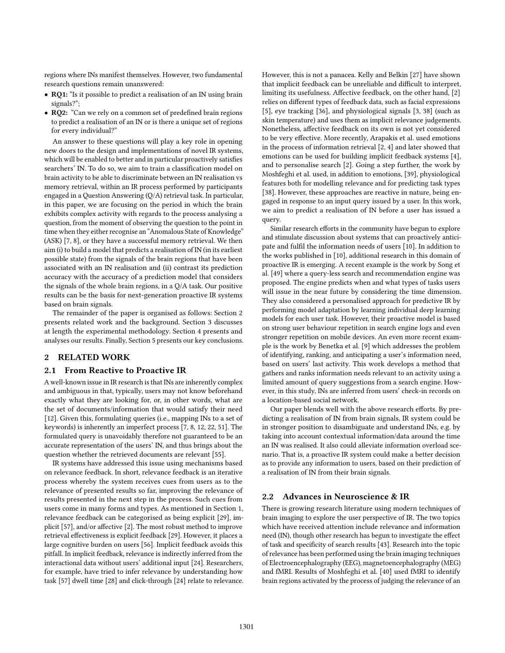regions where INs manifest themselves. However, two fundamental research questions remain unanswered:

- RQ1: "Is it possible to predict a realisation of an IN using brain signals?";
- RQ2: "Can we rely on a common set of predefined brain regions to predict a realisation of an IN or is there a unique set of regions for every individual?"

An answer to these questions will play a key role in opening new doors to the design and implementations of novel IR systems, which will be enabled to better and in particular proactively satisfies searchers' IN. To do so, we aim to train a classification model on brain activity to be able to discriminate between an IN realisation vs memory retrieval, within an IR process performed by participants engaged in a Question Answering (Q/A) retrieval task. In particular, in this paper, we are focusing on the period in which the brain exhibits complex activity with regards to the process analysing a question, from the moment of observing the question to the point in time when they either recognise an "Anomalous State of Knowledge" (ASK) [\[7,](#page-8-7) [8\]](#page-8-0), or they have a successful memory retrieval. We then aim (i) to build a model that predicts a realisation of IN (in its earliest possible state) from the signals of the brain regions that have been associated with an IN realisation and (ii) contrast its prediction accuracy with the accuracy of a prediction model that considers the signals of the whole brain regions, in a Q/A task. Our positive results can be the basis for next-generation proactive IR systems based on brain signals.

The remainder of the paper is organised as follows: Section [2](#page-1-0) presents related work and the background. Section [3](#page-2-0) discusses at length the experimental methodology. Section [4](#page-5-0) presents and analyses our results. Finally, Section [5](#page-7-0) presents our key conclusions.

#### <span id="page-1-0"></span>2 RELATED WORK

#### 2.1 From Reactive to Proactive IR

A well-known issue in IR research is that INs are inherently complex and ambiguous in that, typically, users may not know beforehand exactly what they are looking for, or, in other words, what are the set of documents/information that would satisfy their need [\[12\]](#page-8-1). Given this, formulating queries (i.e., mapping INs to a set of keywords) is inherently an imperfect process [\[7,](#page-8-7) [8,](#page-8-0) [12,](#page-8-1) [22,](#page-9-10) [51\]](#page-9-5). The formulated query is unavoidably therefore not guaranteed to be an accurate representation of the users' IN, and thus brings about the question whether the retrieved documents are relevant [\[55\]](#page-9-11).

IR systems have addressed this issue using mechanisms based on relevance feedback. In short, relevance feedback is an iterative process whereby the system receives cues from users as to the relevance of presented results so far, improving the relevance of results presented in the next step in the process. Such cues from users come in many forms and types. As mentioned in Section [1,](#page-0-0) relevance feedback can be categorised as being explicit [\[29\]](#page-9-6), implicit [\[57\]](#page-9-7), and/or affective [\[2\]](#page-8-5). The most robust method to improve retrieval effectiveness is explicit feedback [\[29\]](#page-9-6). However, it places a large cognitive burden on users [\[56\]](#page-9-12). Implicit feedback avoids this pitfall. In implicit feedback, relevance is indirectly inferred from the interactional data without users' additional input [\[24\]](#page-9-13). Researchers, for example, have tried to infer relevance by understanding how task [\[57\]](#page-9-7) dwell time [\[28\]](#page-9-14) and click-through [\[24\]](#page-9-13) relate to relevance. However, this is not a panacea. Kelly and Belkin [\[27\]](#page-9-15) have shown that implicit feedback can be unreliable and difficult to interpret, limiting its usefulness. Affective feedback, on the other hand, [\[2\]](#page-8-5) relies on different types of feedback data, such as facial expressions [\[5\]](#page-8-8), eye tracking [\[36\]](#page-9-16), and physiological signals [\[3,](#page-8-9) [38\]](#page-9-17) (such as skin temperature) and uses them as implicit relevance judgements. Nonetheless, affective feedback on its own is not yet considered to be very effective. More recently, Arapakis et al. used emotions in the process of information retrieval [\[2,](#page-8-5) [4\]](#page-8-10) and later showed that emotions can be used for building implicit feedback systems [\[4\]](#page-8-10), and to personalise search [\[2\]](#page-8-5). Going a step further, the work by Moshfeghi et al. used, in addition to emotions, [\[39\]](#page-9-18), physiological features both for modelling relevance and for predicting task types [\[38\]](#page-9-17). However, these approaches are reactive in nature, being engaged in response to an input query issued by a user. In this work, we aim to predict a realisation of IN before a user has issued a query.

Similar research efforts in the community have begun to explore and stimulate discussion about systems that can proactively anticipate and fulfil the information needs of users [\[10\]](#page-8-11). In addition to the works published in [\[10\]](#page-8-11), additional research in this domain of proactive IR is emerging. A recent example is the work by Song et al. [\[49\]](#page-9-8) where a query-less search and recommendation engine was proposed. The engine predicts when and what types of tasks users will issue in the near future by considering the time dimension. They also considered a personalised approach for predictive IR by performing model adaptation by learning individual deep learning models for each user task. However, their proactive model is based on strong user behaviour repetition in search engine logs and even stronger repetition on mobile devices. An even more recent example is the work by Benetka et al. [\[9\]](#page-8-6) which addresses the problem of identifying, ranking, and anticipating a user's information need, based on users' last activity. This work develops a method that gathers and ranks information needs relevant to an activity using a limited amount of query suggestions from a search engine. However, in this study, INs are inferred from users' check-in records on a location-based social network.

Our paper blends well with the above research efforts. By predicting a realisation of IN from brain signals, IR system could be in stronger position to disambiguate and understand INs, e.g. by taking into account contextual information/data around the time an IN was realised. It also could alleviate information overload scenario. That is, a proactive IR system could make a better decision as to provide any information to users, based on their prediction of a realisation of IN from their brain signals.

#### 2.2 Advances in Neuroscience & IR

There is growing research literature using modern techniques of brain imaging to explore the user perspective of IR. The two topics which have received attention include relevance and information need (IN), though other research has begun to investigate the effect of task and specificity of search results [\[43\]](#page-9-19). Research into the topic of relevance has been performed using the brain imaging techniques of Electroencephalography (EEG), magnetoencephalography (MEG) and fMRI. Results of Moshfeghi et al. [\[40\]](#page-9-20) used fMRI to identify brain regions activated by the process of judging the relevance of an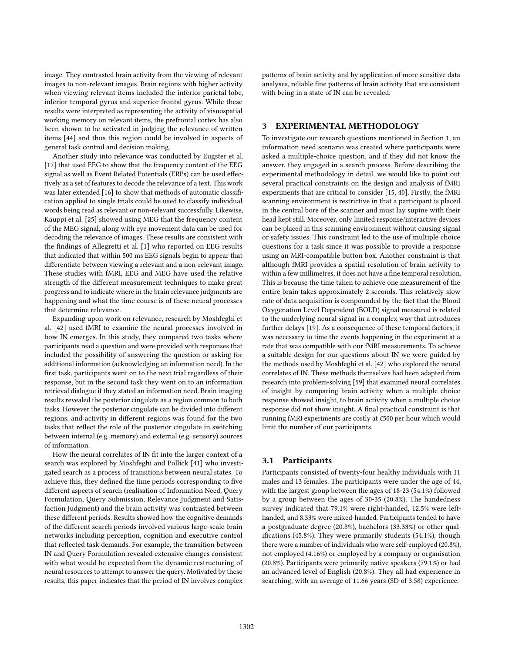image. They contrasted brain activity from the viewing of relevant images to non-relevant images. Brain regions with higher activity when viewing relevant items included the inferior parietal lobe, inferior temporal gyrus and superior frontal gyrus. While these results were interpreted as representing the activity of visuospatial working memory on relevant items, the prefrontal cortex has also been shown to be activated in judging the relevance of written items [\[44\]](#page-9-21) and thus this region could be involved in aspects of general task control and decision making.

Another study into relevance was conducted by Eugster et al. [\[17\]](#page-9-22) that used EEG to show that the frequency content of the EEG signal as well as Event Related Potentials (ERPs) can be used effectively as a set of features to decode the relevance of a text. This work was later extended [\[16\]](#page-9-23) to show that methods of automatic classification applied to single trials could be used to classify individual words being read as relevant or non-relevant successfully. Likewise, Kauppi et al. [\[25\]](#page-9-24) showed using MEG that the frequency content of the MEG signal, along with eye movement data can be used for decoding the relevance of images. These results are consistent with the findings of Allegretti et al. [\[1\]](#page-8-12) who reported on EEG results that indicated that within 500 ms EEG signals begin to appear that differentiate between viewing a relevant and a non-relevant image. These studies with fMRI, EEG and MEG have used the relative strength of the different measurement techniques to make great progress and to indicate where in the brain relevance judgments are happening and what the time course is of these neural processes that determine relevance.

Expanding upon work on relevance, research by Moshfeghi et al. [\[42\]](#page-9-9) used fMRI to examine the neural processes involved in how IN emerges. In this study, they compared two tasks where participants read a question and were provided with responses that included the possibility of answering the question or asking for additional information (acknowledging an information need). In the first task, participants went on to the next trial regardless of their response, but in the second task they went on to an information retrieval dialogue if they stated an information need. Brain imaging results revealed the posterior cingulate as a region common to both tasks. However the posterior cingulate can be divided into different regions, and activity in different regions was found for the two tasks that reflect the role of the posterior cingulate in switching between internal (e.g. memory) and external (e.g. sensory) sources of information.

How the neural correlates of IN fit into the larger context of a search was explored by Moshfeghi and Pollick [\[41\]](#page-9-25) who investigated search as a process of transitions between neural states. To achieve this, they defined the time periods corresponding to five different aspects of search (realisation of Information Need, Query Formulation, Query Submission, Relevance Judgment and Satisfaction Judgment) and the brain activity was contrasted between these different periods. Results showed how the cognitive demands of the different search periods involved various large-scale brain networks including perception, cognition and executive control that reflected task demands. For example, the transition between IN and Query Formulation revealed extensive changes consistent with what would be expected from the dynamic restructuring of neural resources to attempt to answer the query. Motivated by these results, this paper indicates that the period of IN involves complex

patterns of brain activity and by application of more sensitive data analyses, reliable fine patterns of brain activity that are consistent with being in a state of IN can be revealed.

## <span id="page-2-0"></span>3 EXPERIMENTAL METHODOLOGY

To investigate our research questions mentioned in Section [1,](#page-0-0) an information need scenario was created where participants were asked a multiple-choice question, and if they did not know the answer, they engaged in a search process. Before describing the experimental methodology in detail, we would like to point out several practical constraints on the design and analysis of fMRI experiments that are critical to consider [\[15,](#page-8-13) [40\]](#page-9-20). Firstly, the fMRI scanning environment is restrictive in that a participant is placed in the central bore of the scanner and must lay supine with their head kept still. Moreover, only limited response/interactive devices can be placed in this scanning environment without causing signal or safety issues. This constraint led to the use of multiple choice questions for a task since it was possible to provide a response using an MRI-compatible button box. Another constraint is that although fMRI provides a spatial resolution of brain activity to within a few millimetres, it does not have a fine temporal resolution. This is because the time taken to achieve one measurement of the entire brain takes approximately 2 seconds. This relatively slow rate of data acquisition is compounded by the fact that the Blood Oxygenation Level Dependent (BOLD) signal measured is related to the underlying neural signal in a complex way that introduces further delays [\[19\]](#page-9-26). As a consequence of these temporal factors, it was necessary to time the events happening in the experiment at a rate that was compatible with our fMRI measurements. To achieve a suitable design for our questions about IN we were guided by the methods used by Moshfeghi et al. [\[42\]](#page-9-9) who explored the neural correlates of IN. These methods themselves had been adapted from research into problem-solving [\[59\]](#page-9-27) that examined neural correlates of insight by comparing brain activity when a multiple choice response showed insight, to brain activity when a multiple choice response did not show insight. A final practical constraint is that running fMRI experiments are costly at £500 per hour which would limit the number of our participants.

### 3.1 Participants

Participants consisted of twenty-four healthy individuals with 11 males and 13 females. The participants were under the age of 44, with the largest group between the ages of 18-23 (54.1%) followed by a group between the ages of 30-35 (20.8%). The handedness survey indicated that 79.1% were right-handed, 12.5% were lefthanded, and 8.33% were mixed-handed. Participants tended to have a postgraduate degree (20.8%), bachelors (33.33%) or other qualifications (45.8%). They were primarily students (54.1%), though there were a number of individuals who were self-employed (20.8%), not employed (4.16%) or employed by a company or organisation (20.8%). Participants were primarily native speakers (79.1%) or had an advanced level of English (20.8%). They all had experience in searching, with an average of 11.66 years (SD of 3.58) experience.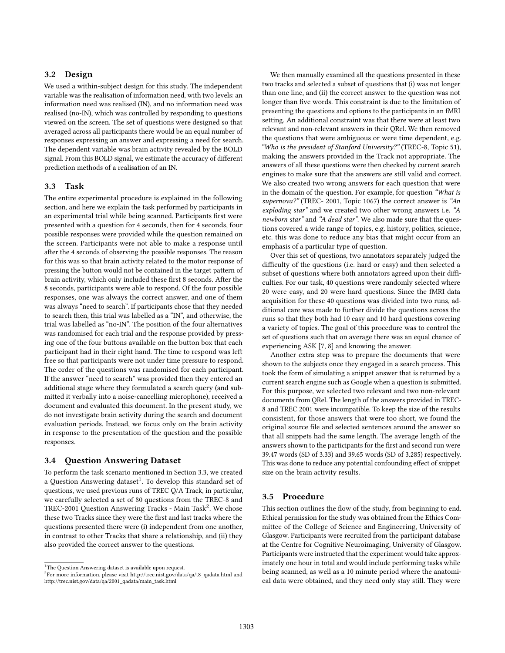## 3.2 Design

We used a within-subject design for this study. The independent variable was the realisation of information need, with two levels: an information need was realised (IN), and no information need was realised (no-IN), which was controlled by responding to questions viewed on the screen. The set of questions were designed so that averaged across all participants there would be an equal number of responses expressing an answer and expressing a need for search. The dependent variable was brain activity revealed by the BOLD signal. From this BOLD signal, we estimate the accuracy of different prediction methods of a realisation of an IN.

#### <span id="page-3-0"></span>3.3 Task

The entire experimental procedure is explained in the following section, and here we explain the task performed by participants in an experimental trial while being scanned. Participants first were presented with a question for 4 seconds, then for 4 seconds, four possible responses were provided while the question remained on the screen. Participants were not able to make a response until after the 4 seconds of observing the possible responses. The reason for this was so that brain activity related to the motor response of pressing the button would not be contained in the target pattern of brain activity, which only included these first 8 seconds. After the 8 seconds, participants were able to respond. Of the four possible responses, one was always the correct answer, and one of them was always "need to search". If participants chose that they needed to search then, this trial was labelled as a "IN", and otherwise, the trial was labelled as "no-IN". The position of the four alternatives was randomised for each trial and the response provided by pressing one of the four buttons available on the button box that each participant had in their right hand. The time to respond was left free so that participants were not under time pressure to respond. The order of the questions was randomised for each participant. If the answer "need to search" was provided then they entered an additional stage where they formulated a search query (and submitted it verbally into a noise-cancelling microphone), received a document and evaluated this document. In the present study, we do not investigate brain activity during the search and document evaluation periods. Instead, we focus only on the brain activity in response to the presentation of the question and the possible responses.

#### 3.4 Question Answering Dataset

To perform the task scenario mentioned in Section [3.3,](#page-3-0) we created a Question Answering dataset<sup>[1](#page-3-1)</sup>. To develop this standard set of questions, we used previous runs of TREC Q/A Track, in particular, we carefully selected a set of 80 questions from the TREC-8 and TREC-[2](#page-3-2)001 Question Answering Tracks - Main Task<sup>2</sup>. We chose these two Tracks since they were the first and last tracks where the questions presented there were (i) independent from one another, in contrast to other Tracks that share a relationship, and (ii) they also provided the correct answer to the questions.

We then manually examined all the questions presented in these two tracks and selected a subset of questions that (i) was not longer than one line, and (ii) the correct answer to the question was not longer than five words. This constraint is due to the limitation of presenting the questions and options to the participants in an fMRI setting. An additional constraint was that there were at least two relevant and non-relevant answers in their QRel. We then removed the questions that were ambiguous or were time dependent, e.g. "Who is the president of Stanford University?" (TREC-8, Topic 51), making the answers provided in the Track not appropriate. The answers of all these questions were then checked by current search engines to make sure that the answers are still valid and correct. We also created two wrong answers for each question that were in the domain of the question. For example, for question "What is supernova?" (TREC- 2001, Topic 1067) the correct answer is "An exploding star" and we created two other wrong answers i.e. "A newborn star" and "A dead star". We also made sure that the questions covered a wide range of topics, e.g. history, politics, science, etc. this was done to reduce any bias that might occur from an emphasis of a particular type of question.

Over this set of questions, two annotators separately judged the difficulty of the questions (i.e. hard or easy) and then selected a subset of questions where both annotators agreed upon their difficulties. For our task, 40 questions were randomly selected where 20 were easy, and 20 were hard questions. Since the fMRI data acquisition for these 40 questions was divided into two runs, additional care was made to further divide the questions across the runs so that they both had 10 easy and 10 hard questions covering a variety of topics. The goal of this procedure was to control the set of questions such that on average there was an equal chance of experiencing ASK [\[7,](#page-8-7) [8\]](#page-8-0) and knowing the answer.

Another extra step was to prepare the documents that were shown to the subjects once they engaged in a search process. This took the form of simulating a snippet answer that is returned by a current search engine such as Google when a question is submitted. For this purpose, we selected two relevant and two non-relevant documents from QRel. The length of the answers provided in TREC-8 and TREC 2001 were incompatible. To keep the size of the results consistent, for those answers that were too short, we found the original source file and selected sentences around the answer so that all snippets had the same length. The average length of the answers shown to the participants for the first and second run were 39.47 words (SD of 3.33) and 39.65 words (SD of 3.285) respectively. This was done to reduce any potential confounding effect of snippet size on the brain activity results.

#### 3.5 Procedure

This section outlines the flow of the study, from beginning to end. Ethical permission for the study was obtained from the Ethics Committee of the College of Science and Engineering, University of Glasgow. Participants were recruited from the participant database at the Centre for Cognitive Neuroimaging, University of Glasgow. Participants were instructed that the experiment would take approximately one hour in total and would include performing tasks while being scanned, as well as a 10 minute period where the anatomical data were obtained, and they need only stay still. They were

<span id="page-3-1"></span> $\rm ^1The$  Question Answering dataset is available upon request.

<span id="page-3-2"></span> ${}^{2}$ For more information, please visit [http://trec.nist.gov/data/qa/t8\\_qadata.html](http://trec.nist.gov/data/qa/t8_qadata.html) and [http://trec.nist.gov/data/qa/2001\\_qadata/main\\_task.html](http://trec.nist.gov/data/qa/2001_qadata/main_task.html)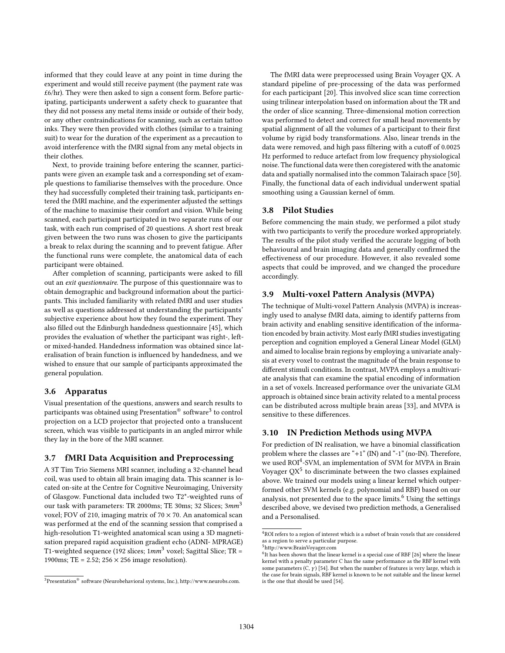informed that they could leave at any point in time during the experiment and would still receive payment (the payment rate was £6/hr). They were then asked to sign a consent form. Before participating, participants underwent a safety check to guarantee that they did not possess any metal items inside or outside of their body, or any other contraindications for scanning, such as certain tattoo inks. They were then provided with clothes (similar to a training suit) to wear for the duration of the experiment as a precaution to avoid interference with the fMRI signal from any metal objects in their clothes.

Next, to provide training before entering the scanner, participants were given an example task and a corresponding set of example questions to familiarise themselves with the procedure. Once they had successfully completed their training task, participants entered the fMRI machine, and the experimenter adjusted the settings of the machine to maximise their comfort and vision. While being scanned, each participant participated in two separate runs of our task, with each run comprised of 20 questions. A short rest break given between the two runs was chosen to give the participants a break to relax during the scanning and to prevent fatigue. After the functional runs were complete, the anatomical data of each participant were obtained.

After completion of scanning, participants were asked to fill out an exit questionnaire. The purpose of this questionnaire was to obtain demographic and background information about the participants. This included familiarity with related fMRI and user studies as well as questions addressed at understanding the participants' subjective experience about how they found the experiment. They also filled out the Edinburgh handedness questionnaire [\[45\]](#page-9-28), which provides the evaluation of whether the participant was right-, leftor mixed-handed. Handedness information was obtained since lateralisation of brain function is influenced by handedness, and we wished to ensure that our sample of participants approximated the general population.

## 3.6 Apparatus

Visual presentation of the questions, answers and search results to participants was obtained using Presentation $^\circledast$  software $^3$  $^3$  to control projection on a LCD projector that projected onto a translucent screen, which was visible to participants in an angled mirror while they lay in the bore of the MRI scanner.

#### 3.7 fMRI Data Acquisition and Preprocessing

A 3T Tim Trio Siemens MRI scanner, including a 32-channel head coil, was used to obtain all brain imaging data. This scanner is located on-site at the Centre for Cognitive Neuroimaging, University of Glasgow. Functional data included two T2\*-weighted runs of our task with parameters: TR 2000ms; TE 30ms; 32 Slices; 3mm<sup>3</sup> voxel; FOV of 210, imaging matrix of  $70 \times 70$ . An anatomical scan was performed at the end of the scanning session that comprised a high-resolution T1-weighted anatomical scan using a 3D magnetisation prepared rapid acquisition gradient echo (ADNI- MPRAGE) T1-weighted sequence (192 slices;  $1mm<sup>3</sup>$  voxel; Sagittal Slice; TR = 1900ms; TE = 2.52; 256  $\times$  256 image resolution).

The fMRI data were preprocessed using Brain Voyager QX. A standard pipeline of pre-processing of the data was performed for each participant [\[20\]](#page-9-29). This involved slice scan time correction using trilinear interpolation based on information about the TR and the order of slice scanning. Three-dimensional motion correction was performed to detect and correct for small head movements by spatial alignment of all the volumes of a participant to their first volume by rigid body transformations. Also, linear trends in the data were removed, and high pass filtering with a cutoff of 0.0025 Hz performed to reduce artefact from low frequency physiological noise. The functional data were then coregistered with the anatomic data and spatially normalised into the common Talairach space [\[50\]](#page-9-30). Finally, the functional data of each individual underwent spatial smoothing using a Gaussian kernel of 6mm.

#### 3.8 Pilot Studies

Before commencing the main study, we performed a pilot study with two participants to verify the procedure worked appropriately. The results of the pilot study verified the accurate logging of both behavioural and brain imaging data and generally confirmed the effectiveness of our procedure. However, it also revealed some aspects that could be improved, and we changed the procedure accordingly.

## 3.9 Multi-voxel Pattern Analysis (MVPA)

The technique of Multi-voxel Pattern Analysis (MVPA) is increasingly used to analyse fMRI data, aiming to identify patterns from brain activity and enabling sensitive identification of the information encoded by brain activity. Most early fMRI studies investigating perception and cognition employed a General Linear Model (GLM) and aimed to localise brain regions by employing a univariate analysis at every voxel to contrast the magnitude of the brain response to different stimuli conditions. In contrast, MVPA employs a multivariate analysis that can examine the spatial encoding of information in a set of voxels. Increased performance over the univariate GLM approach is obtained since brain activity related to a mental process can be distributed across multiple brain areas [\[33\]](#page-9-31), and MVPA is sensitive to these differences.

### 3.10 IN Prediction Methods using MVPA

For prediction of IN realisation, we have a binomial classification problem where the classes are "+1" (IN) and "-1" (no-IN). Therefore, we used ROI<sup>[4](#page-4-1)</sup>-SVM, an implementation of SVM for MVPA in Brain Voyager QX $^5$  $^5$  to discriminate between the two classes explained above. We trained our models using a linear kernel which outperformed other SVM kernels (e.g. polynomial and RBF) based on our analysis, not presented due to the space limits.<sup>[6](#page-4-3)</sup> Using the settings described above, we devised two prediction methods, a Generalised and a Personalised.

<span id="page-4-0"></span><sup>3</sup>Presentation® software (Neurobehavioral systems, Inc.), [http://www.neurobs.com.](http://www.neurobs.com)

<span id="page-4-1"></span> ${}^{4}$  ROI refers to a region of interest which is a subset of brain voxels that are considered as a region to serve a particular purpose.

<span id="page-4-2"></span><sup>5</sup><http://www.BrainVoyager.com>

<span id="page-4-3"></span><sup>&</sup>lt;sup>6</sup>It has been shown that the linear kernel is a special case of RBF [\[26\]](#page-9-32) where the linear kernel with a penalty parameter C has the same performance as the RBF kernel with some parameters  $(C, \gamma)$  [\[54\]](#page-9-33). But when the number of features is very large, which is the case for brain signals, RBF kernel is known to be not suitable and the linear kernel is the one that should be used [\[54\]](#page-9-33).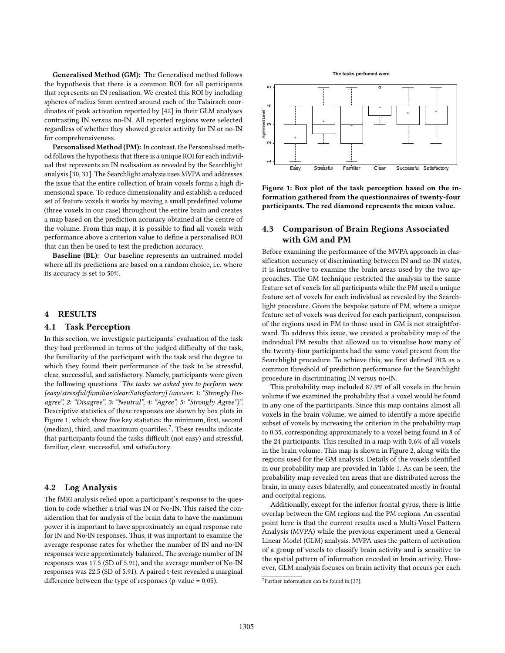Generalised Method (GM): The Generalised method follows the hypothesis that there is a common ROI for all participants that represents an IN realisation. We created this ROI by including spheres of radius 5mm centred around each of the Talairach coordinates of peak activation reported by [\[42\]](#page-9-9) in their GLM analyses contrasting IN versus no-IN. All reported regions were selected regardless of whether they showed greater activity for IN or no-IN for comprehensiveness.

Personalised Method (PM): In contrast, the Personalised method follows the hypothesis that there is a unique ROI for each individual that represents an IN realisation as revealed by the Searchlight analysis [\[30,](#page-9-34) [31\]](#page-9-35). The Searchlight analysis uses MVPA and addresses the issue that the entire collection of brain voxels forms a high dimensional space. To reduce dimensionality and establish a reduced set of feature voxels it works by moving a small predefined volume (three voxels in our case) throughout the entire brain and creates a map based on the prediction accuracy obtained at the centre of the volume. From this map, it is possible to find all voxels with performance above a criterion value to define a personalised ROI that can then be used to test the prediction accuracy.

Baseline (BL): Our baseline represents an untrained model where all its predictions are based on a random choice, i.e. where its accuracy is set to 50%.

## <span id="page-5-0"></span>4 RESULTS

#### 4.1 Task Perception

In this section, we investigate participants' evaluation of the task they had performed in terms of the judged difficulty of the task, the familiarity of the participant with the task and the degree to which they found their performance of the task to be stressful, clear, successful, and satisfactory. Namely, participants were given the following questions "The tasks we asked you to perform were [easy/stressful/familiar/clear/Satisfactory] (answer: 1: "Strongly Disagree", 2: "Disagree", 3: "Neutral", 4: "Agree", 5: "Strongly Agree")". Descriptive statistics of these responses are shown by box plots in Figure [1,](#page-5-1) which show five key statistics: the minimum, first, second (median), third, and maximum quartiles.<sup>[7](#page-5-2)</sup>. These results indicate that participants found the tasks difficult (not easy) and stressful, familiar, clear, successful, and satisfactory.

#### 4.2 Log Analysis

The fMRI analysis relied upon a participant's response to the question to code whether a trial was IN or No-IN. This raised the consideration that for analysis of the brain data to have the maximum power it is important to have approximately an equal response rate for IN and No-IN responses. Thus, it was important to examine the average response rates for whether the number of IN and no-IN responses were approximately balanced. The average number of IN responses was 17.5 (SD of 5.91), and the average number of No-IN responses was 22.5 (SD of 5.91). A paired t-test revealed a marginal difference between the type of responses (p-value = 0.05).



<span id="page-5-1"></span>

Figure 1: Box plot of the task perception based on the information gathered from the questionnaires of twenty-four participants. The red diamond represents the mean value.

## 4.3 Comparison of Brain Regions Associated with GM and PM

Before examining the performance of the MVPA approach in classification accuracy of discriminating between IN and no-IN states, it is instructive to examine the brain areas used by the two approaches. The GM technique restricted the analysis to the same feature set of voxels for all participants while the PM used a unique feature set of voxels for each individual as revealed by the Searchlight procedure. Given the bespoke nature of PM, where a unique feature set of voxels was derived for each participant, comparison of the regions used in PM to those used in GM is not straightforward. To address this issue, we created a probability map of the individual PM results that allowed us to visualise how many of the twenty-four participants had the same voxel present from the Searchlight procedure. To achieve this, we first defined 70% as a common threshold of prediction performance for the Searchlight procedure in discriminating IN versus no-IN.

This probability map included 87.9% of all voxels in the brain volume if we examined the probability that a voxel would be found in any one of the participants. Since this map contains almost all voxels in the brain volume, we aimed to identify a more specific subset of voxels by increasing the criterion in the probability map to 0.35, corresponding approximately to a voxel being found in 8 of the 24 participants. This resulted in a map with 0.6% of all voxels in the brain volume. This map is shown in Figure [2,](#page-6-0) along with the regions used for the GM analysis. Details of the voxels identified in our probability map are provided in Table [1.](#page-6-1) As can be seen, the probability map revealed ten areas that are distributed across the brain, in many cases bilaterally, and concentrated mostly in frontal and occipital regions.

Additionally, except for the inferior frontal gyrus, there is little overlap between the GM regions and the PM regions. An essential point here is that the current results used a Multi-Voxel Pattern Analysis (MVPA) while the previous experiment used a General Linear Model (GLM) analysis. MVPA uses the pattern of activation of a group of voxels to classify brain activity and is sensitive to the spatial pattern of information encoded in brain activity. However, GLM analysis focuses on brain activity that occurs per each

<span id="page-5-2"></span><sup>7</sup> Further information can be found in [\[37\]](#page-9-36).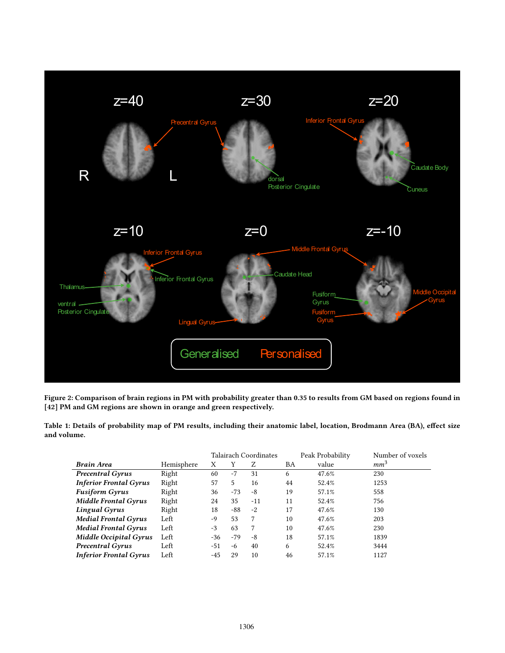<span id="page-6-0"></span>

Figure 2: Comparison of brain regions in PM with probability greater than 0.35 to results from GM based on regions found in [\[42\]](#page-9-9) PM and GM regions are shown in orange and green respectively.

<span id="page-6-1"></span>Table 1: Details of probability map of PM results, including their anatomic label, location, Brodmann Area (BA), effect size and volume.

|                               |            | Talairach Coordinates |       | Peak Probability |    | Number of voxels |                 |
|-------------------------------|------------|-----------------------|-------|------------------|----|------------------|-----------------|
| <b>Brain Area</b>             | Hemisphere | X                     |       | Z                | BA | value            | mm <sup>3</sup> |
| <b>Precentral Gyrus</b>       | Right      | 60                    | $-7$  | 31               | 6  | 47.6%            | 230             |
| <b>Inferior Frontal Gyrus</b> | Right      | 57                    | 5     | 16               | 44 | 52.4%            | 1253            |
| <b>Fusiform Gyrus</b>         | Right      | 36                    | $-73$ | -8               | 19 | 57.1%            | 558             |
| <b>Middle Frontal Gyrus</b>   | Right      | 24                    | 35    | $-11$            | 11 | 52.4%            | 756             |
| <b>Lingual Gyrus</b>          | Right      | 18                    | -88   | $-2$             | 17 | 47.6%            | 130             |
| <b>Medial Frontal Gyrus</b>   | Left       | -9                    | 53    | 7                | 10 | 47.6%            | 203             |
| <b>Medial Frontal Gyrus</b>   | Left       | -3                    | 63    | 7                | 10 | 47.6%            | 230             |
| Middle Occipital Gyrus        | Left       | -36                   | $-79$ | -8               | 18 | 57.1%            | 1839            |
| <b>Precentral Gyrus</b>       | Left       | $-51$                 | -6    | 40               | 6  | 52.4%            | 3444            |
| <b>Inferior Frontal Gyrus</b> | Left       | -45                   | 29    | 10               | 46 | 57.1%            | 1127            |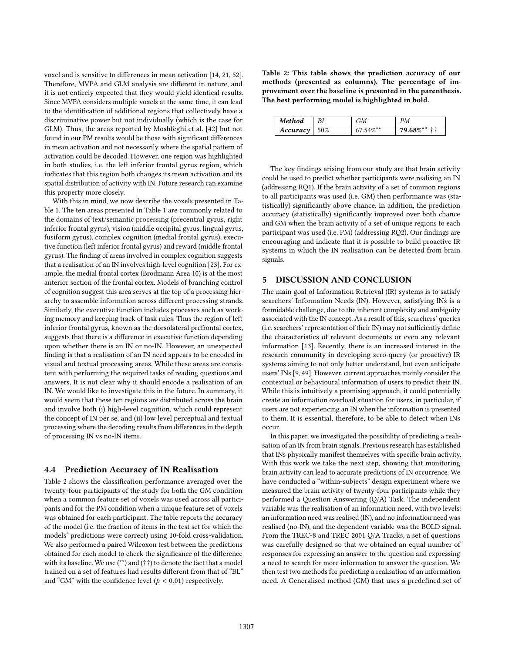voxel and is sensitive to differences in mean activation [\[14,](#page-8-14) [21,](#page-9-37) [52\]](#page-9-38). Therefore, MVPA and GLM analysis are different in nature, and it is not entirely expected that they would yield identical results. Since MVPA considers multiple voxels at the same time, it can lead to the identification of additional regions that collectively have a discriminative power but not individually (which is the case for GLM). Thus, the areas reported by Moshfeghi et al. [\[42\]](#page-9-9) but not found in our PM results would be those with significant differences in mean activation and not necessarily where the spatial pattern of activation could be decoded. However, one region was highlighted in both studies, i.e. the left inferior frontal gyrus region, which indicates that this region both changes its mean activation and its spatial distribution of activity with IN. Future research can examine this property more closely.

With this in mind, we now describe the voxels presented in Table [1.](#page-6-1) The ten areas presented in Table [1](#page-6-1) are commonly related to the domains of text/semantic processing (precentral gyrus, right inferior frontal gyrus), vision (middle occipital gyrus, lingual gyrus, fusiform gyrus), complex cognition (medial frontal gyrus), executive function (left inferior frontal gyrus) and reward (middle frontal gyrus). The finding of areas involved in complex cognition suggests that a realisation of an IN involves high-level cognition [\[23\]](#page-9-1). For example, the medial frontal cortex (Brodmann Area 10) is at the most anterior section of the frontal cortex. Models of branching control of cognition suggest this area serves at the top of a processing hierarchy to assemble information across different processing strands. Similarly, the executive function includes processes such as working memory and keeping track of task rules. Thus the region of left inferior frontal gyrus, known as the dorsolateral prefrontal cortex, suggests that there is a difference in executive function depending upon whether there is an IN or no-IN. However, an unexpected finding is that a realisation of an IN need appears to be encoded in visual and textual processing areas. While these areas are consistent with performing the required tasks of reading questions and answers, It is not clear why it should encode a realisation of an IN. We would like to investigate this in the future. In summary, it would seem that these ten regions are distributed across the brain and involve both (i) high-level cognition, which could represent the concept of IN per se, and (ii) low level perceptual and textual processing where the decoding results from differences in the depth of processing IN vs no-IN items.

#### 4.4 Prediction Accuracy of IN Realisation

Table [2](#page-7-1) shows the classification performance averaged over the twenty-four participants of the study for both the GM condition when a common feature set of voxels was used across all participants and for the PM condition when a unique feature set of voxels was obtained for each participant. The table reports the accuracy of the model (i.e. the fraction of items in the test set for which the models' predictions were correct) using 10-fold cross-validation. We also performed a paired Wilcoxon test between the predictions obtained for each model to check the significance of the difference with its baseline. We use (\*\*) and (††) to denote the fact that a model trained on a set of features had results different from that of "BL" and "GM" with the confidence level ( $p < 0.01$ ) respectively.

<span id="page-7-1"></span>Table 2: This table shows the prediction accuracy of our methods (presented as columns). The percentage of improvement over the baseline is presented in the parenthesis. The best performing model is highlighted in bold.

| Method            | BL | GM          |                 |
|-------------------|----|-------------|-----------------|
| $Accuracy   50\%$ |    | $67.54\%**$ | $79.68\%$ ** †† |

The key findings arising from our study are that brain activity could be used to predict whether participants were realising an IN (addressing RQ1). If the brain activity of a set of common regions to all participants was used (i.e. GM) then performance was (statistically) significantly above chance. In addition, the prediction accuracy (statistically) significantly improved over both chance and GM when the brain activity of a set of unique regions to each participant was used (i.e. PM) (addressing RQ2). Our findings are encouraging and indicate that it is possible to build proactive IR systems in which the IN realisation can be detected from brain signals.

#### <span id="page-7-0"></span>5 DISCUSSION AND CONCLUSION

The main goal of Information Retrieval (IR) systems is to satisfy searchers' Information Needs (IN). However, satisfying INs is a formidable challenge, due to the inherent complexity and ambiguity associated with the IN concept. As a result of this, searchers' queries (i.e. searchers' representation of their IN) may not sufficiently define the characteristics of relevant documents or even any relevant information [\[13\]](#page-8-4). Recently, there is an increased interest in the research community in developing zero-query (or proactive) IR systems aiming to not only better understand, but even anticipate users' INs [\[9,](#page-8-6) [49\]](#page-9-8). However, current approaches mainly consider the contextual or behavioural information of users to predict their IN. While this is intuitively a promising approach, it could potentially create an information overload situation for users, in particular, if users are not experiencing an IN when the information is presented to them. It is essential, therefore, to be able to detect when INs occur.

In this paper, we investigated the possibility of predicting a realisation of an IN from brain signals. Previous research has established that INs physically manifest themselves with specific brain activity. With this work we take the next step, showing that monitoring brain activity can lead to accurate predictions of IN occurrence. We have conducted a "within-subjects" design experiment where we measured the brain activity of twenty-four participants while they performed a Question Answering (Q/A) Task. The independent variable was the realisation of an information need, with two levels: an information need was realised (IN), and no information need was realised (no-IN), and the dependent variable was the BOLD signal. From the TREC-8 and TREC 2001 Q/A Tracks, a set of questions was carefully designed so that we obtained an equal number of responses for expressing an answer to the question and expressing a need to search for more information to answer the question. We then test two methods for predicting a realisation of an information need. A Generalised method (GM) that uses a predefined set of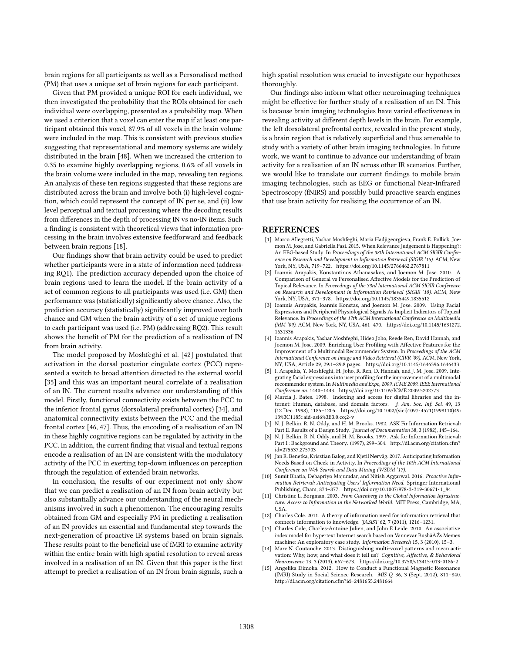brain regions for all participants as well as a Personalised method (PM) that uses a unique set of brain regions for each participant.

Given that PM provided a unique ROI for each individual, we then investigated the probability that the ROIs obtained for each individual were overlapping, presented as a probability map. When we used a criterion that a voxel can enter the map if at least one participant obtained this voxel, 87.9% of all voxels in the brain volume were included in the map. This is consistent with previous studies suggesting that representational and memory systems are widely distributed in the brain [\[48\]](#page-9-39). When we increased the criterion to 0.35 to examine highly overlapping regions, 0.6% of all voxels in the brain volume were included in the map, revealing ten regions. An analysis of these ten regions suggested that these regions are distributed across the brain and involve both (i) high-level cognition, which could represent the concept of IN per se, and (ii) low level perceptual and textual processing where the decoding results from differences in the depth of processing IN vs no-IN items. Such a finding is consistent with theoretical views that information processing in the brain involves extensive feedforward and feedback between brain regions [\[18\]](#page-9-40).

Our findings show that brain activity could be used to predict whether participants were in a state of information need (addressing RQ1). The prediction accuracy depended upon the choice of brain regions used to learn the model. If the brain activity of a set of common regions to all participants was used (i.e. GM) then performance was (statistically) significantly above chance. Also, the prediction accuracy (statistically) significantly improved over both chance and GM when the brain activity of a set of unique regions to each participant was used (i.e. PM) (addressing RQ2). This result shows the benefit of PM for the prediction of a realisation of IN from brain activity.

The model proposed by Moshfeghi et al. [\[42\]](#page-9-9) postulated that activation in the dorsal posterior cingulate cortex (PCC) represented a switch to broad attention directed to the external world [\[35\]](#page-9-41) and this was an important neural correlate of a realisation of an IN. The current results advance our understanding of this model. Firstly, functional connectivity exists between the PCC to the inferior frontal gyrus (dorsolateral prefrontal cortex) [\[34\]](#page-9-42), and anatomical connectivity exists between the PCC and the medial frontal cortex [\[46,](#page-9-43) [47\]](#page-9-44). Thus, the encoding of a realisation of an IN in these highly cognitive regions can be regulated by activity in the PCC. In addition, the current finding that visual and textual regions encode a realisation of an IN are consistent with the modulatory activity of the PCC in exerting top-down influences on perception through the regulation of extended brain networks.

In conclusion, the results of our experiment not only show that we can predict a realisation of an IN from brain activity but also substantially advance our understanding of the neural mechanisms involved in such a phenomenon. The encouraging results obtained from GM and especially PM in predicting a realisation of an IN provides an essential and fundamental step towards the next-generation of proactive IR systems based on brain signals. These results point to the beneficial use of fMRI to examine activity within the entire brain with high spatial resolution to reveal areas involved in a realisation of an IN. Given that this paper is the first attempt to predict a realisation of an IN from brain signals, such a

high spatial resolution was crucial to investigate our hypotheses thoroughly.

Our findings also inform what other neuroimaging techniques might be effective for further study of a realisation of an IN. This is because brain imaging technologies have varied effectiveness in revealing activity at different depth levels in the brain. For example, the left dorsolateral prefrontal cortex, revealed in the present study, is a brain region that is relatively superficial and thus amenable to study with a variety of other brain imaging technologies. In future work, we want to continue to advance our understanding of brain activity for a realisation of an IN across other IR scenarios. Further, we would like to translate our current findings to mobile brain imaging technologies, such as EEG or functional Near-Infrared Spectroscopy (fNIRS) and possibly build proactive search engines that use brain activity for realising the occurrence of an IN.

#### REFERENCES

- <span id="page-8-12"></span>[1] Marco Allegretti, Yashar Moshfeghi, Maria Hadjigeorgieva, Frank E. Pollick, Joemon M. Jose, and Gabriella Pasi. 2015. When Relevance Judgement is Happening?: An EEG-based Study. In Proceedings of the 38th International ACM SIGIR Conference on Research and Development in Information Retrieval (SIGIR '15). ACM, New York, NY, USA, 719–722.<https://doi.org/10.1145/2766462.2767811>
- <span id="page-8-5"></span>[2] Ioannis Arapakis, Konstantinos Athanasakos, and Joemon M. Jose. 2010. A Comparison of General vs Personalised Affective Models for the Prediction of Topical Relevance. In Proceedings of the 33rd International ACM SIGIR Conference on Research and Development in Information Retrieval (SIGIR '10). ACM, New York, NY, USA, 371-378.<https://doi.org/10.1145/1835449.1835512>
- <span id="page-8-9"></span>[3] Ioannis Arapakis, Ioannis Konstas, and Joemon M. Jose. 2009. Using Facial Expressions and Peripheral Physiological Signals As Implicit Indicators of Topical Relevance. In Proceedings of the 17th ACM International Conference on Multimedia (MM '09). ACM, New York, NY, USA, 461–470. [https://doi.org/10.1145/1631272.](https://doi.org/10.1145/1631272.1631336) [1631336](https://doi.org/10.1145/1631272.1631336)
- <span id="page-8-10"></span>[4] Ioannis Arapakis, Yashar Moshfeghi, Hideo Joho, Reede Ren, David Hannah, and Joemon M. Jose. 2009. Enriching User Profiling with Affective Features for the Improvement of a Multimodal Recommender System. In Proceedings of the ACM International Conference on Image and Video Retrieval (CIVR '09). ACM, New York, NY, USA, Article 29, 29:1–29:8 pages.<https://doi.org/10.1145/1646396.1646433>
- <span id="page-8-8"></span>[5] I. Arapakis, Y. Moshfeghi, H. Joho, R. Ren, D. Hannah, and J. M. Jose. 2009. Integrating facial expressions into user profiling for the improvement of a multimodal recommender system. In Multimedia and Expo, 2009. ICME 2009. IEEE International Conference on. 1440–1443.<https://doi.org/10.1109/ICME.2009.5202773>
- <span id="page-8-2"></span>[6] Marcia J. Bates. 1998. Indexing and access for digital libraries and the internet: Human, database, and domain factors. J. Am. Soc. Inf. Sci. 49, 13 (12 Dec. 1998), 1185–1205. [https://doi.org/10.1002/\(sici\)1097-4571\(1998110\)49:](https://doi.org/10.1002/(sici)1097-4571(1998110)49:13%3C1185::aid-asi6%3E3.0.co;2-v) [13%3C1185::aid-asi6%3E3.0.co;2-v](https://doi.org/10.1002/(sici)1097-4571(1998110)49:13%3C1185::aid-asi6%3E3.0.co;2-v)
- <span id="page-8-7"></span>N. J. Belkin, R. N. Oddy, and H. M. Brooks. 1982. ASK Fir Information Retrieval: Part II. Results of a Design Study. Journal of Documentation 38, 3 (1982), 145–164.
- <span id="page-8-0"></span>[8] N. J. Belkin, R. N. Oddy, and H. M. Brooks. 1997. Ask for Information Retrieval: Part I.: Background and Theory. (1997), 299–304. [http://dl.acm.org/citation.cfm?](http://dl.acm.org/citation.cfm?id=275537.275703) [id=275537.275703](http://dl.acm.org/citation.cfm?id=275537.275703)
- <span id="page-8-6"></span>[9] Jan R. Benetka, Krisztian Balog, and Kjetil Nørvåg. 2017. Anticipating Information Needs Based on Check-in Activity. In Proceedings of the 10th ACM International Conference on Web Search and Data Mining (WSDM '17).
- <span id="page-8-11"></span>[10] Sumit Bhatia, Debapriyo Majumdar, and Nitish Aggarwal. 2016. Proactive Information Retrieval: Anticipating Users' Information Need. Springer International Publishing, Cham, 874–877. [https://doi.org/10.1007/978-3-319-30671-1\\_84](https://doi.org/10.1007/978-3-319-30671-1_84)
- <span id="page-8-3"></span>[11] Christine L. Borgman. 2003. From Gutenberg to the Global Information Infrastructure: Access to Information in the Networked World. MIT Press, Cambridge, MA, USA.
- <span id="page-8-1"></span>[12] Charles Cole. 2011. A theory of information need for information retrieval that connects information to knowledge. JASIST 62, 7 (2011), 1216–1231.
- <span id="page-8-4"></span>[13] Charles Cole, Charles-Antoine Julien, and John E Leide. 2010. An associative index model for hypertext Internet search based on Vannevar BushâĂŹs Memex machine: An exploratory case study. Information Research 15, 3 (2010), 15–3.
- <span id="page-8-14"></span>[14] Marc N. Coutanche. 2013. Distinguishing multi-voxel patterns and mean activation: Why, how, and what does it tell us? Cognitive, Affective, & Behavioral Neuroscience 13, 3 (2013), 667–673.<https://doi.org/10.3758/s13415-013-0186-2>
- <span id="page-8-13"></span>[15] Angelika Dimoka. 2012. How to Conduct a Functional Magnetic Resonance (fMRI) Study in Social Science Research. MIS Q. 36, 3 (Sept. 2012), 811–840. <http://dl.acm.org/citation.cfm?id=2481655.2481664>